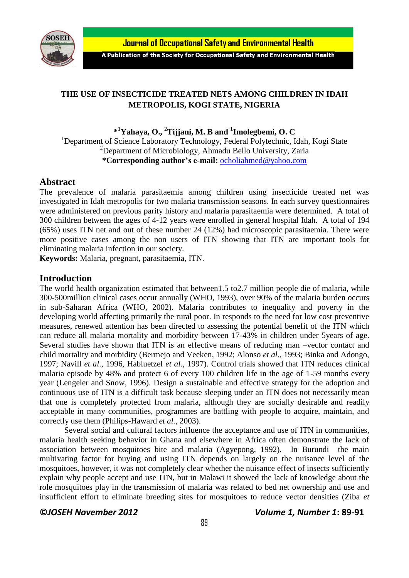

**Journal of Occupational Safety and Environmental Health** A Publication of the Society for Occupational Safety and Environmental Health

# **THE USE OF INSECTICIDE TREATED NETS AMONG CHILDREN IN IDAH METROPOLIS, KOGI STATE, NIGERIA**

**\* <sup>1</sup>Yahaya, O., <sup>2</sup>Tijjani, M. B and <sup>1</sup> Imolegbemi, O. C**

<sup>1</sup>Department of Science Laboratory Technology, Federal Polytechnic, Idah, Kogi State  $2D$ epartment of Microbiology, Ahmadu Bello University, Zaria **\*Corresponding author's e-mail:** [ocholiahmed@yahoo.com](mailto:ocholiahmed@yahoo.com)

## **Abstract**

The prevalence of malaria parasitaemia among children using insecticide treated net was investigated in Idah metropolis for two malaria transmission seasons. In each survey questionnaires were administered on previous parity history and malaria parasitaemia were determined. A total of 300 children between the ages of 4-12 years were enrolled in general hospital Idah. A total of 194 (65%) uses ITN net and out of these number 24 (12%) had microscopic parasitaemia. There were more positive cases among the non users of ITN showing that ITN are important tools for eliminating malaria infection in our society.

**Keywords:** Malaria, pregnant, parasitaemia, ITN.

## **Introduction**

The world health organization estimated that between1.5 to2.7 million people die of malaria, while 300-500million clinical cases occur annually (WHO, 1993), over 90% of the malaria burden occurs in sub-Saharan Africa (WHO, 2002). Malaria contributes to inequality and poverty in the developing world affecting primarily the rural poor. In responds to the need for low cost preventive measures, renewed attention has been directed to assessing the potential benefit of the ITN which can reduce all malaria mortality and morbidity between 17-43% in children under 5years of age. Several studies have shown that ITN is an effective means of reducing man –vector contact and child mortality and morbidity (Bermejo and Veeken, 1992; Alonso *et al*., 1993; Binka and Adongo, 1997; Navill *et al*., 1996, Habluetzel *et al*., 1997). Control trials showed that ITN reduces clinical malaria episode by 48% and protect 6 of every 100 children life in the age of 1-59 months every year (Lengeler and Snow, 1996). Design a sustainable and effective strategy for the adoption and continuous use of ITN is a difficult task because sleeping under an ITN does not necessarily mean that one is completely protected from malaria, although they are socially desirable and readily acceptable in many communities, programmes are battling with people to acquire, maintain, and correctly use them (Philips-Haward *et al.,* 2003).

Several social and cultural factors influence the acceptance and use of ITN in communities, malaria health seeking behavior in Ghana and elsewhere in Africa often demonstrate the lack of association between mosquitoes bite and malaria (Agyepong, 1992). In Burundi the main multivating factor for buying and using ITN depends on largely on the nuisance level of the mosquitoes, however, it was not completely clear whether the nuisance effect of insects sufficiently explain why people accept and use ITN, but in Malawi it showed the lack of knowledge about the role mosquitoes play in the transmission of malaria was related to bed net ownership and use and insufficient effort to eliminate breeding sites for mosquitoes to reduce vector densities (Ziba *et* 

### **©***JOSEH November 2012 Volume 1, Number 1***: 89-91**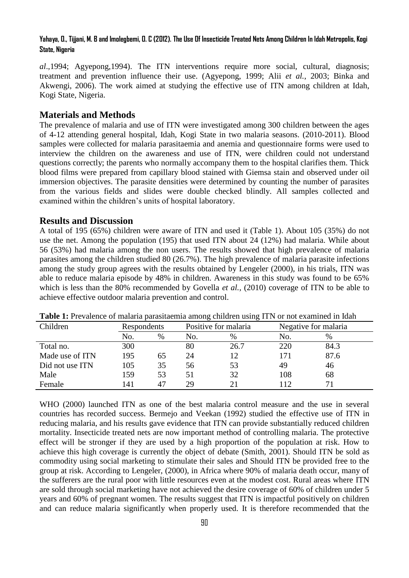#### **Yahaya, O., Tijjani, M. B and Imolegbemi, O. C (2012). The Use Of Insecticide Treated Nets Among Children In Idah Metropolis, Kogi State, Nigeria**

*al*.,1994; Agyepong,1994). The ITN interventions require more social, cultural, diagnosis; treatment and prevention influence their use. (Agyepong, 1999; Alii *et al.*, 2003; Binka and Akwengi, 2006). The work aimed at studying the effective use of ITN among children at Idah, Kogi State, Nigeria.

### **Materials and Methods**

The prevalence of malaria and use of ITN were investigated among 300 children between the ages of 4-12 attending general hospital, Idah, Kogi State in two malaria seasons. (2010-2011). Blood samples were collected for malaria parasitaemia and anemia and questionnaire forms were used to interview the children on the awareness and use of ITN, were children could not understand questions correctly; the parents who normally accompany them to the hospital clarifies them. Thick blood films were prepared from capillary blood stained with Giemsa stain and observed under oil immersion objectives. The parasite densities were determined by counting the number of parasites from the various fields and slides were double checked blindly. All samples collected and examined within the children's units of hospital laboratory.

#### **Results and Discussion**

A total of 195 (65%) children were aware of ITN and used it (Table 1). About 105 (35%) do not use the net. Among the population (195) that used ITN about 24 (12%) had malaria. While about 56 (53%) had malaria among the non users. The results showed that high prevalence of malaria parasites among the children studied 80 (26.7%). The high prevalence of malaria parasite infections among the study group agrees with the results obtained by Lengeler (2000), in his trials, ITN was able to reduce malaria episode by 48% in children. Awareness in this study was found to be 65% which is less than the 80% recommended by Govella *et al.,* (2010) coverage of ITN to be able to achieve effective outdoor malaria prevention and control.

| Children        | Respondents |    | Positive for malaria |      | Negative for malaria |      |
|-----------------|-------------|----|----------------------|------|----------------------|------|
|                 | No.         | %  | No.                  | $\%$ | No.                  | $\%$ |
| Total no.       | 300         |    | 80                   | 26.7 | 220                  | 84.3 |
| Made use of ITN | 195         | 65 | 24                   | 12   |                      | 87.6 |
| Did not use ITN | 105         | 35 | 56                   | 53   | 49                   | 46   |
| Male            | 159         | 53 | 51                   | 32   | 108                  | 68   |
| Female          | 141         | 47 | 29                   |      |                      |      |

**Table 1:** Prevalence of malaria parasitaemia among children using ITN or not examined in Idah

WHO (2000) launched ITN as one of the best malaria control measure and the use in several countries has recorded success. Bermejo and Veekan (1992) studied the effective use of ITN in reducing malaria, and his results gave evidence that ITN can provide substantially reduced children mortality. Insecticide treated nets are now important method of controlling malaria. The protective effect will be stronger if they are used by a high proportion of the population at risk. How to achieve this high coverage is currently the object of debate (Smith, 2001). Should ITN be sold as commodity using social marketing to stimulate their sales and Should ITN be provided free to the group at risk. According to Lengeler, (2000), in Africa where 90% of malaria death occur, many of the sufferers are the rural poor with little resources even at the modest cost. Rural areas where ITN are sold through social marketing have not achieved the desire coverage of 60% of children under 5 years and 60% of pregnant women. The results suggest that ITN is impactful positively on children and can reduce malaria significantly when properly used. It is therefore recommended that the